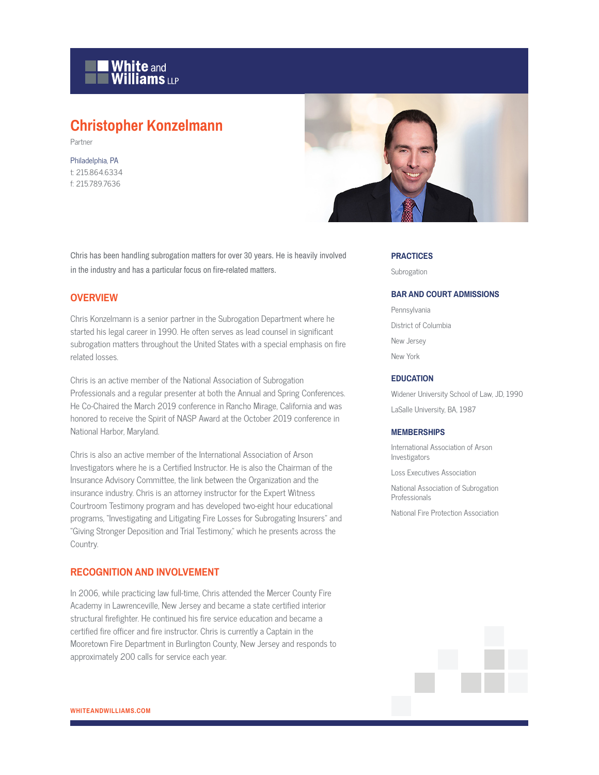

# **Christopher Konzelmann**

Partner

Philadelphia, PA t: 215.864.6334 f: 215.789.7636



Chris has been handling subrogation matters for over 30 years. He is heavily involved in the industry and has a particular focus on fire-related matters.

#### **OVERVIEW**

Chris Konzelmann is a senior partner in the Subrogation Department where he started his legal career in 1990. He often serves as lead counsel in significant subrogation matters throughout the United States with a special emphasis on fire related losses.

Chris is an active member of the National Association of Subrogation Professionals and a regular presenter at both the Annual and Spring Conferences. He Co-Chaired the March 2019 conference in Rancho Mirage, California and was honored to receive the Spirit of NASP Award at the October 2019 conference in National Harbor, Maryland.

Chris is also an active member of the International Association of Arson Investigators where he is a Certified Instructor. He is also the Chairman of the Insurance Advisory Committee, the link between the Organization and the insurance industry. Chris is an attorney instructor for the Expert Witness Courtroom Testimony program and has developed two-eight hour educational programs, "Investigating and Litigating Fire Losses for Subrogating Insurers" and "Giving Stronger Deposition and Trial Testimony," which he presents across the Country.

#### **RECOGNITION AND INVOLVEMENT**

In 2006, while practicing law full-time, Chris attended the Mercer County Fire Academy in Lawrenceville, New Jersey and became a state certified interior structural firefighter. He continued his fire service education and became a certified fire officer and fire instructor. Chris is currently a Captain in the Mooretown Fire Department in Burlington County, New Jersey and responds to approximately 200 calls for service each year.

#### **PRACTICES**

Subrogation

#### **BAR AND COURT ADMISSIONS**

Pennsylvania District of Columbia New Jersey New York

#### **EDUCATION**

Widener University School of Law, JD, 1990 LaSalle University, BA, 1987

#### **MEMBERSHIPS**

International Association of Arson Investigators

Loss Executives Association

National Association of Subrogation **Professionals** 

National Fire Protection Association

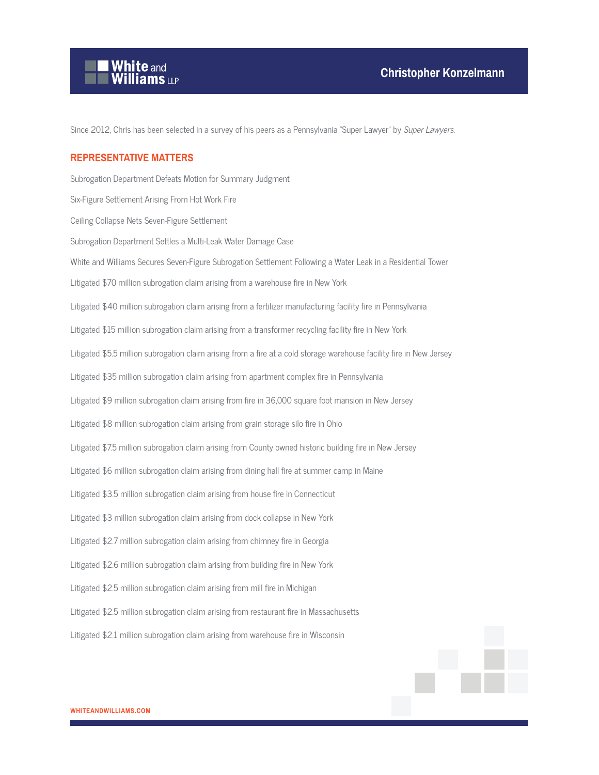

Since 2012, Chris has been selected in a survey of his peers as a Pennsylvania "Super Lawyer" by Super Lawyers.

#### **REPRESENTATIVE MATTERS**

Subrogation Department Defeats Motion for Summary Judgment Six-Figure Settlement Arising From Hot Work Fire Ceiling Collapse Nets Seven-Figure Settlement Subrogation Department Settles a Multi-Leak Water Damage Case White and Williams Secures Seven-Figure Subrogation Settlement Following a Water Leak in a Residential Tower Litigated \$70 million subrogation claim arising from a warehouse fire in New York Litigated \$40 million subrogation claim arising from a fertilizer manufacturing facility fire in Pennsylvania Litigated \$15 million subrogation claim arising from a transformer recycling facility fire in New York Litigated \$5.5 million subrogation claim arising from a fire at a cold storage warehouse facility fire in New Jersey Litigated \$35 million subrogation claim arising from apartment complex fire in Pennsylvania Litigated \$9 million subrogation claim arising from fire in 36,000 square foot mansion in New Jersey Litigated \$8 million subrogation claim arising from grain storage silo fire in Ohio Litigated \$7.5 million subrogation claim arising from County owned historic building fire in New Jersey Litigated \$6 million subrogation claim arising from dining hall fire at summer camp in Maine Litigated \$3.5 million subrogation claim arising from house fire in Connecticut Litigated \$3 million subrogation claim arising from dock collapse in New York Litigated \$2.7 million subrogation claim arising from chimney fire in Georgia Litigated \$2.6 million subrogation claim arising from building fire in New York Litigated \$2.5 million subrogation claim arising from mill fire in Michigan Litigated \$2.5 million subrogation claim arising from restaurant fire in Massachusetts Litigated \$2.1 million subrogation claim arising from warehouse fire in Wisconsin

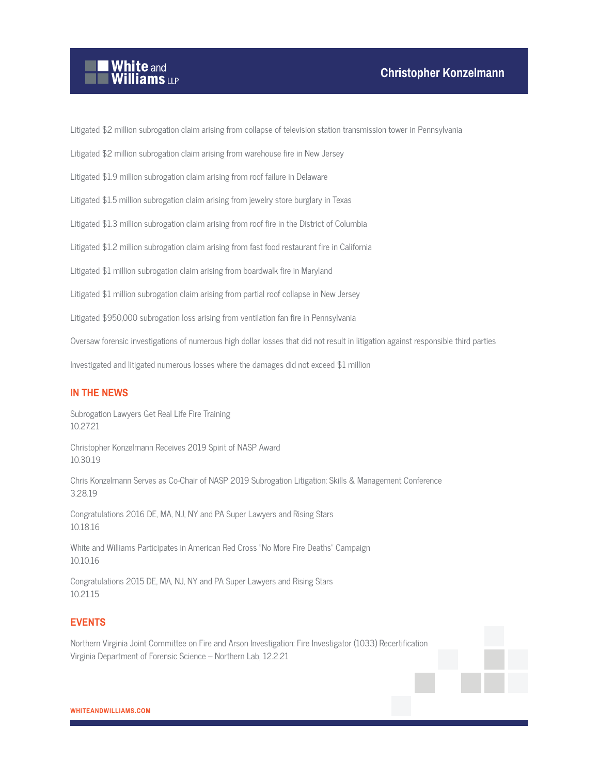# **White and Williams LLP**

Litigated \$2 million subrogation claim arising from collapse of television station transmission tower in Pennsylvania

Litigated \$2 million subrogation claim arising from warehouse fire in New Jersey

Litigated \$1.9 million subrogation claim arising from roof failure in Delaware

Litigated \$1.5 million subrogation claim arising from jewelry store burglary in Texas

Litigated \$1.3 million subrogation claim arising from roof fire in the District of Columbia

Litigated \$1.2 million subrogation claim arising from fast food restaurant fire in California

Litigated \$1 million subrogation claim arising from boardwalk fire in Maryland

Litigated \$1 million subrogation claim arising from partial roof collapse in New Jersey

Litigated \$950,000 subrogation loss arising from ventilation fan fire in Pennsylvania

Oversaw forensic investigations of numerous high dollar losses that did not result in litigation against responsible third parties

Investigated and litigated numerous losses where the damages did not exceed \$1 million

# **IN THE NEWS**

Subrogation Lawyers Get Real Life Fire Training 10.27.21

Christopher Konzelmann Receives 2019 Spirit of NASP Award 10.30.19

Chris Konzelmann Serves as Co-Chair of NASP 2019 Subrogation Litigation: Skills & Management Conference 3.28.19

Congratulations 2016 DE, MA, NJ, NY and PA Super Lawyers and Rising Stars 10.18.16

White and Williams Participates in American Red Cross "No More Fire Deaths" Campaign 10.10.16

Congratulations 2015 DE, MA, NJ, NY and PA Super Lawyers and Rising Stars 10.21.15

# **EVENTS**

Northern Virginia Joint Committee on Fire and Arson Investigation: Fire Investigator (1033) Recertification Virginia Department of Forensic Science – Northern Lab, 12.2.21

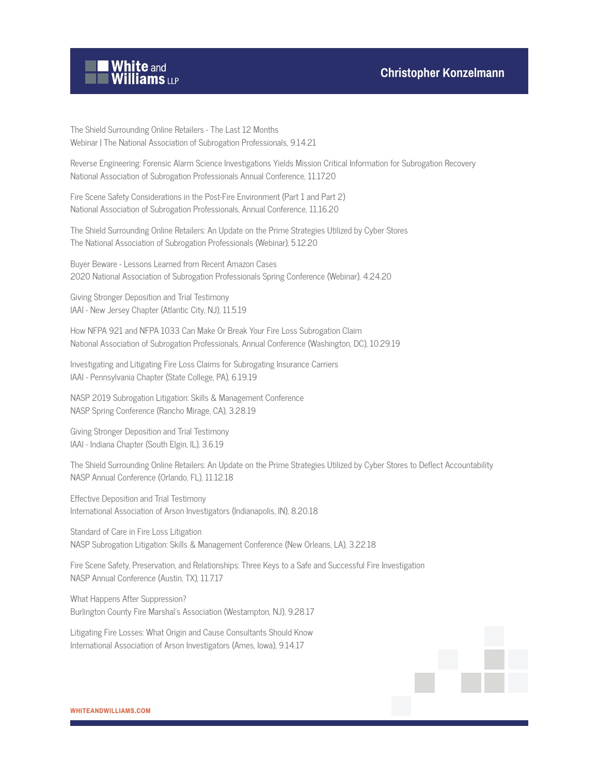# **Christopher Konzelmann**



The Shield Surrounding Online Retailers - The Last 12 Months Webinar | The National Association of Subrogation Professionals, 9.14.21

Reverse Engineering: Forensic Alarm Science Investigations Yields Mission Critical Information for Subrogation Recovery National Association of Subrogation Professionals Annual Conference, 11.17.20

Fire Scene Safety Considerations in the Post-Fire Environment (Part 1 and Part 2) National Association of Subrogation Professionals, Annual Conference, 11.16.20

The Shield Surrounding Online Retailers: An Update on the Prime Strategies Utilized by Cyber Stores The National Association of Subrogation Professionals (Webinar), 5.12.20

Buyer Beware - Lessons Learned from Recent Amazon Cases 2020 National Association of Subrogation Professionals Spring Conference (Webinar), 4.24.20

Giving Stronger Deposition and Trial Testimony IAAI - New Jersey Chapter (Atlantic City, NJ), 11.5.19

How NFPA 921 and NFPA 1033 Can Make Or Break Your Fire Loss Subrogation Claim National Association of Subrogation Professionals, Annual Conference (Washington, DC), 10.29.19

Investigating and Litigating Fire Loss Claims for Subrogating Insurance Carriers IAAI - Pennsylvania Chapter (State College, PA), 6.19.19

NASP 2019 Subrogation Litigation: Skills & Management Conference NASP Spring Conference (Rancho Mirage, CA), 3.28.19

Giving Stronger Deposition and Trial Testimony IAAI - Indiana Chapter (South Elgin, IL), 3.6.19

The Shield Surrounding Online Retailers: An Update on the Prime Strategies Utilized by Cyber Stores to Deflect Accountability NASP Annual Conference (Orlando, FL), 11.12.18

Effective Deposition and Trial Testimony International Association of Arson Investigators (Indianapolis, IN), 8.20.18

Standard of Care in Fire Loss Litigation NASP Subrogation Litigation: Skills & Management Conference (New Orleans, LA), 3.22.18

Fire Scene Safety, Preservation, and Relationships: Three Keys to a Safe and Successful Fire Investigation NASP Annual Conference (Austin, TX), 11.7.17

What Happens After Suppression? Burlington County Fire Marshal's Association (Westampton, NJ), 9.28.17

Litigating Fire Losses: What Origin and Cause Consultants Should Know International Association of Arson Investigators (Ames, Iowa), 9.14.17